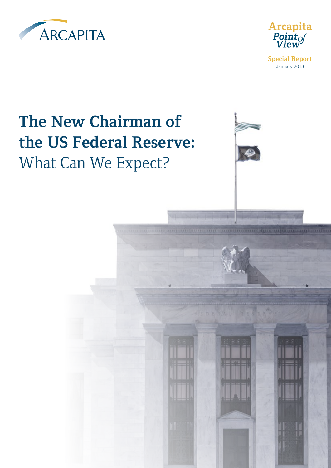



### **The New Chairman of the US Federal Reserve:** What Can We Expect?



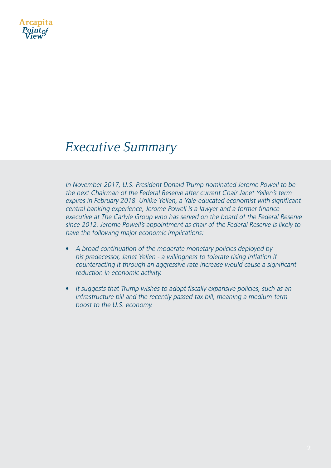

#### Executive Summary

In November 2017, U.S. President Donald Trump nominated Jerome Powell to be the next Chairman of the Federal Reserve after current Chair Janet Yellen's term expires in February 2018. Unlike Yellen, a Yale-educated economist with significant central banking experience, Jerome Powell is a lawyer and a former finance executive at The Carlyle Group who has served on the board of the Federal Reserve since 2012. Jerome Powell's appointment as chair of the Federal Reserve is likely to have the following major economic implications:

- A broad continuation of the moderate monetary policies deployed by his predecessor, Janet Yellen - a willingness to tolerate rising inflation if counteracting it through an aggressive rate increase would cause a significant reduction in economic activity.
- It suggests that Trump wishes to adopt fiscally expansive policies, such as an infrastructure bill and the recently passed tax bill, meaning a medium-term boost to the U.S. economy.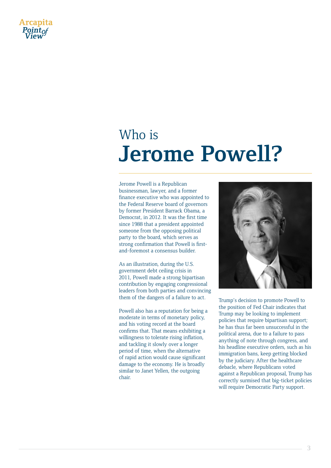

### Who is **Jerome Powell?**

Jerome Powell is a Republican businessman, lawyer, and a former finance executive who was appointed to the Federal Reserve board of governors by former President Barrack Obama, a Democrat, in 2012. It was the first time since 1988 that a president appointed someone from the opposing political party to the board, which serves as strong confirmation that Powell is firstand-foremost a consensus builder.

As an illustration, during the U.S. government debt ceiling crisis in 2011, Powell made a strong bipartisan contribution by engaging congressional leaders from both parties and convincing them of the dangers of a failure to act.

Powell also has a reputation for being a moderate in terms of monetary policy, and his voting record at the board confirms that. That means exhibiting a willingness to tolerate rising inflation, and tackling it slowly over a longer period of time, when the alternative of rapid action would cause significant damage to the economy. He is broadly similar to Janet Yellen, the outgoing chair.



Trump's decision to promote Powell to the position of Fed Chair indicates that Trump may be looking to implement policies that require bipartisan support; he has thus far been unsuccessful in the political arena, due to a failure to pass anything of note through congress, and his headline executive orders, such as his immigration bans, keep getting blocked by the judiciary. After the healthcare debacle, where Republicans voted against a Republican proposal, Trump has correctly surmised that big-ticket policies will require Democratic Party support.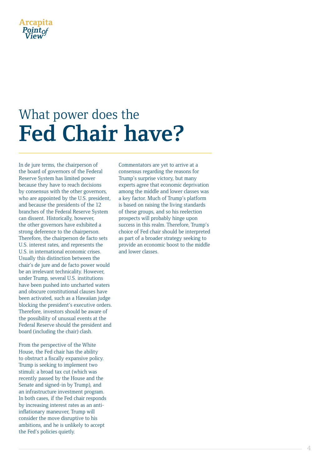

# What power does the **Fed Chair have?**

In de jure terms, the chairperson of the board of governors of the Federal Reserve System has limited power because they have to reach decisions by consensus with the other governors, who are appointed by the U.S. president, and because the presidents of the 12 branches of the Federal Reserve System can dissent. Historically, however, the other governors have exhibited a strong deference to the chairperson. Therefore, the chairperson de facto sets U.S. interest rates, and represents the U.S. in international economic crises. Usually this distinction between the chair's de jure and de facto power would be an irrelevant technicality. However, under Trump, several U.S. institutions have been pushed into uncharted waters and obscure constitutional clauses have been activated, such as a Hawaiian judge blocking the president's executive orders. Therefore, investors should be aware of the possibility of unusual events at the Federal Reserve should the president and board (including the chair) clash.

From the perspective of the White House, the Fed chair has the ability to obstruct a fiscally expansive policy. Trump is seeking to implement two stimuli: a broad tax cut (which was recently passed by the House and the Senate and signed-in by Trump), and an infrastructure investment program. In both cases, if the Fed chair responds by increasing interest rates as an antiinflationary maneuver, Trump will consider the move disruptive to his ambitions, and he is unlikely to accept the Fed's policies quietly.

Commentators are yet to arrive at a consensus regarding the reasons for Trump's surprise victory, but many experts agree that economic deprivation among the middle and lower classes was a key factor. Much of Trump's platform is based on raising the living standards of these groups, and so his reelection prospects will probably hinge upon success in this realm. Therefore, Trump's choice of Fed chair should be interpreted as part of a broader strategy seeking to provide an economic boost to the middle and lower classes.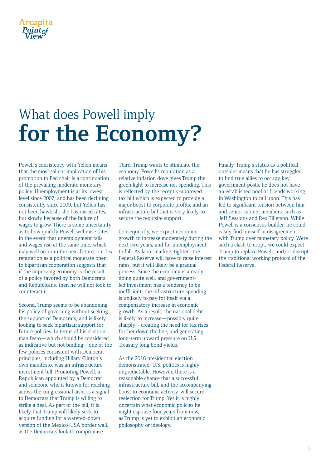

# What does Powell imply **for the Economy?**

Powell's consistency with Yellen means that the most salient implication of his promotion to Fed chair is a continuation of the prevailing moderate monetary policy. Unemployment is at its lowest level since 2007, and has been declining consistently since 2009, but Yellen has not been hawkish: she has raised rates, but slowly because of the failure of wages to grow. There is some uncertainty as to how quickly Powell will raise rates in the event that unemployment falls and wages rise at the same time, which may well occur in the near future, but his reputation as a political moderate open to bipartisan cooperation suggests that if the improving economy is the result of a policy favored by both Democrats and Republicans, then he will not look to counteract it.

Second, Trump seems to be abandoning his policy of governing without seeking the support of Democrats, and is likely looking to seek bipartisan support for future policies. In terms of his election manifesto—which should be considered as indicative but not binding—one of the few policies consistent with Democrat principles, including Hillary Clinton's own manifesto, was an infrastructure investment bill. Promoting Powell, a Republican appointed by a Democrat and someone who is known for reaching across the congressional aisle, is a signal to Democrats that Trump is willing to strike a deal. As part of the bill, it is likely that Trump will likely seek to acquire funding for a watered-down version of the Mexico-USA border wall, as the Democrats look to compromise.

Third, Trump wants to stimulate the economy. Powell's reputation as a relative inflation dove gives Trump the green light to increase net spending. This is reflected by the recently-approved tax bill which is expected to provide a major boost to corporate profits, and an infrastructure bill that is very likely to secure the requisite support.

Consequently, we expect economic growth to increase moderately during the next two years, and for unemployment to fall. As labor markets tighten, the Federal Reserve will have to raise interest rates, but it will likely be a gradual process. Since the economy is already doing quite well, and governmentled investment has a tendency to be inefficient, the infrastructure spending is unlikely to pay for itself via a compensatory increase in economic growth. As a result, the national debt is likely to increase—possibly quite sharply—creating the need for tax rises further down the line, and generating long-term upward pressure on U.S. Treasury long bond yields.

As the 2016 presidential election demonstrated, U.S. politics is highly unpredictable. However, there is a reasonable chance that a successful infrastructure bill, and the accompanying boost to economic activity, will secure reelection for Trump. Yet it is highly uncertain what economic policies he might espouse four years from now, as Trump is yet to exhibit an economic philosophy or ideology.

Finally, Trump's status as a political outsider means that he has struggled to find true allies to occupy key government posts; he does not have an established pool of friends working in Washington to call upon. This has led to significant tension between him and senior cabinet members, such as Jeff Sessions and Rex Tillerson. While Powell is a consensus builder, he could easily find himself in disagreement with Trump over monetary policy. Were such a clash to erupt, we could expect Trump to replace Powell, and/or disrupt the traditional working protocol of the Federal Reserve.